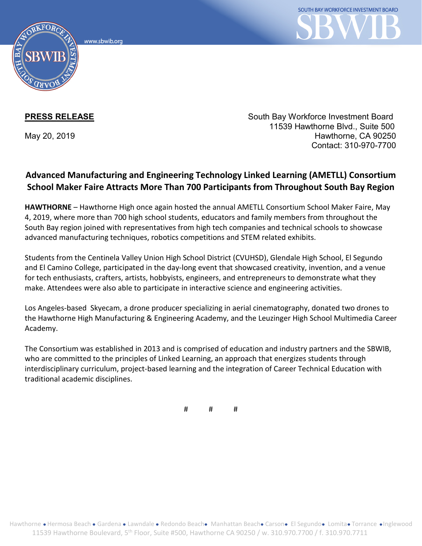www.sbwib.org



**PRESS RELEASE** South Bay Workforce Investment Board 11539 Hawthorne Blvd., Suite 500 May 20, 2019 **Hawthorne, CA 90250** Contact: 310-970-7700

## **Advanced Manufacturing and Engineering Technology Linked Learning (AMETLL) Consortium School Maker Faire Attracts More Than 700 Participants from Throughout South Bay Region**

**HAWTHORNE** – Hawthorne High once again hosted the annual AMETLL Consortium School Maker Faire, May 4, 2019, where more than 700 high school students, educators and family members from throughout the South Bay region joined with representatives from high tech companies and technical schools to showcase advanced manufacturing techniques, robotics competitions and STEM related exhibits.

Students from the Centinela Valley Union High School District (CVUHSD), Glendale High School, El Segundo and El Camino College, participated in the day-long event that showcased creativity, invention, and a venue for tech enthusiasts, crafters, artists, hobbyists, engineers, and entrepreneurs to demonstrate what they make. Attendees were also able to participate in interactive science and engineering activities.

Los Angeles-based Skyecam, a drone producer specializing in aerial cinematography, donated two drones to the Hawthorne High Manufacturing & Engineering Academy, and the Leuzinger High School Multimedia Career Academy.

The Consortium was established in 2013 and is comprised of education and industry partners and the SBWIB, who are committed to the principles of Linked Learning, an approach that energizes students through interdisciplinary curriculum, project-based learning and the integration of Career Technical Education with traditional academic disciplines.

# # #